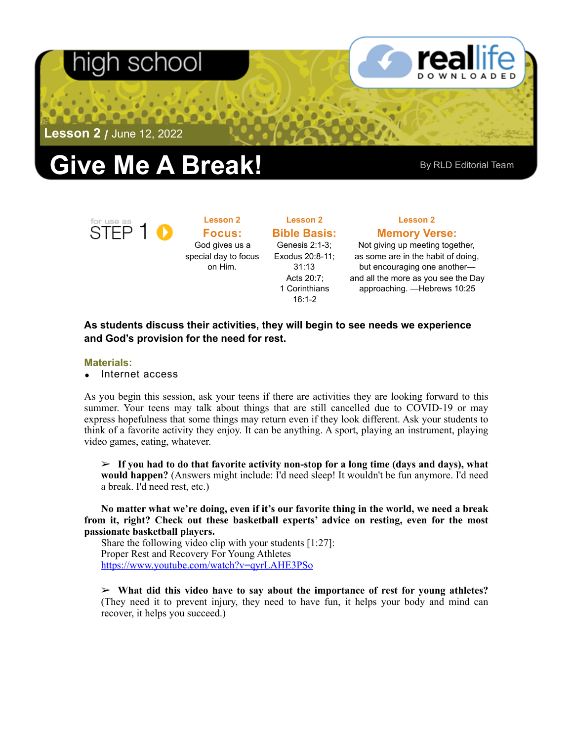## า school



**Lesson 2 /** June 12, 2022

# **Give Me A Break!** By RLD Editorial Team

STEP<sub>1</sub>

**Lesson 2 Focus:**  God gives us a special day to focus on Him.

**Lesson 2 Bible Basis:** Genesis 2:1-3; Exodus 20:8-11; 31:13 Acts 20:7; 1 Corinthians 16:1-2

**Lesson 2 Memory Verse:**

Not giving up meeting together, as some are in the habit of doing, but encouraging one another and all the more as you see the Day approaching. —Hebrews 10:25

### **As students discuss their activities, they will begin to see needs we experience and God's provision for the need for rest.**

### **Materials:**

• Internet access

As you begin this session, ask your teens if there are activities they are looking forward to this summer. Your teens may talk about things that are still cancelled due to COVID-19 or may express hopefulness that some things may return even if they look different. Ask your students to think of a favorite activity they enjoy. It can be anything. A sport, playing an instrument, playing video games, eating, whatever.

➢ **If you had to do that favorite activity non-stop for a long time (days and days), what would happen?** (Answers might include: I'd need sleep! It wouldn't be fun anymore. I'd need a break. I'd need rest, etc.)

**No matter what we're doing, even if it's our favorite thing in the world, we need a break from it, right? Check out these basketball experts' advice on resting, even for the most passionate basketball players.** 

Share the following video clip with your students [1:27]: Proper Rest and Recovery For Young Athletes <https://www.youtube.com/watch?v=qyrLAHE3PSo>

➢ **What did this video have to say about the importance of rest for young athletes?**  (They need it to prevent injury, they need to have fun, it helps your body and mind can recover, it helps you succeed.)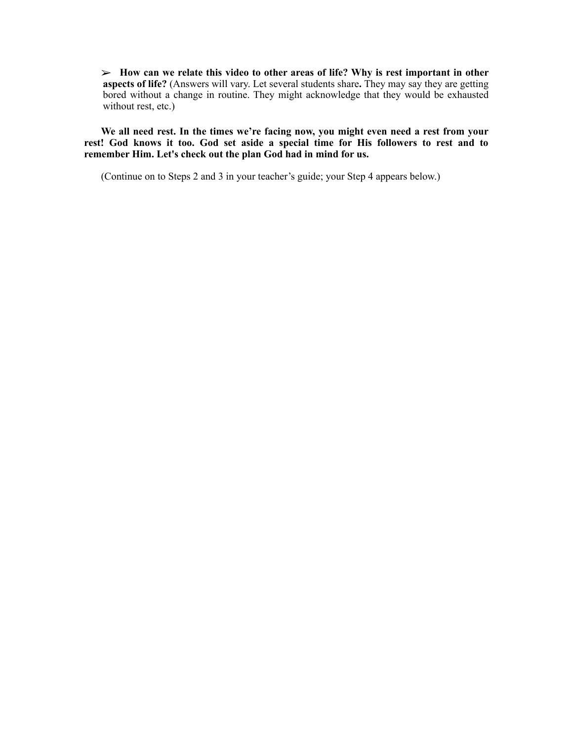➢ **How can we relate this video to other areas of life? Why is rest important in other aspects of life?** (Answers will vary. Let several students share**.** They may say they are getting bored without a change in routine. They might acknowledge that they would be exhausted without rest, etc.)

**We all need rest. In the times we're facing now, you might even need a rest from your rest! God knows it too. God set aside a special time for His followers to rest and to remember Him. Let's check out the plan God had in mind for us.**

(Continue on to Steps 2 and 3 in your teacher's guide; your Step 4 appears below.)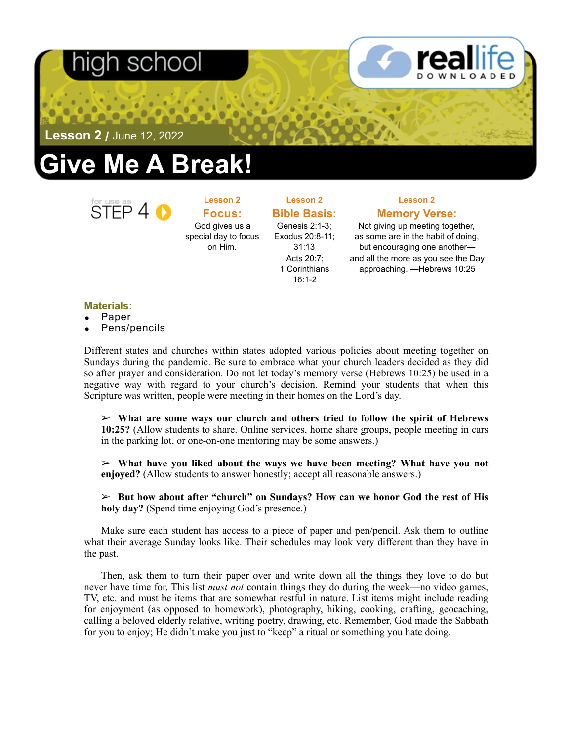## nigh school



**Lesson 2 /** June 12, 2022

# **Give Me A Break!**



**Lesson 2 Focus:**  God gives us a special day to focus on Him.

**Bible Basis:** Genesis 2:1-3; Exodus 20:8-11; 31:13 Acts 20:7; 1 Corinthians 16:1-2

**Lesson 2** 

### **Lesson 2 Memory Verse:**

Not giving up meeting together, as some are in the habit of doing, but encouraging one another and all the more as you see the Day approaching. —Hebrews 10:25

### **Materials:**

- Paper
- Pens/pencils

Different states and churches within states adopted various policies about meeting together on Sundays during the pandemic. Be sure to embrace what your church leaders decided as they did so after prayer and consideration. Do not let today's memory verse (Hebrews 10:25) be used in a negative way with regard to your church's decision. Remind your students that when this Scripture was written, people were meeting in their homes on the Lord's day.

➢ **What are some ways our church and others tried to follow the spirit of Hebrews 10:25?** (Allow students to share. Online services, home share groups, people meeting in cars in the parking lot, or one-on-one mentoring may be some answers.)

➢ **What have you liked about the ways we have been meeting? What have you not enjoyed?** (Allow students to answer honestly; accept all reasonable answers.)

### ➢ **But how about after "church" on Sundays? How can we honor God the rest of His holy day?** (Spend time enjoying God's presence.)

Make sure each student has access to a piece of paper and pen/pencil. Ask them to outline what their average Sunday looks like. Their schedules may look very different than they have in the past.

Then, ask them to turn their paper over and write down all the things they love to do but never have time for. This list *must not* contain things they do during the week—no video games, TV, etc. and must be items that are somewhat restful in nature. List items might include reading for enjoyment (as opposed to homework), photography, hiking, cooking, crafting, geocaching, calling a beloved elderly relative, writing poetry, drawing, etc. Remember, God made the Sabbath for you to enjoy; He didn't make you just to "keep" a ritual or something you hate doing.